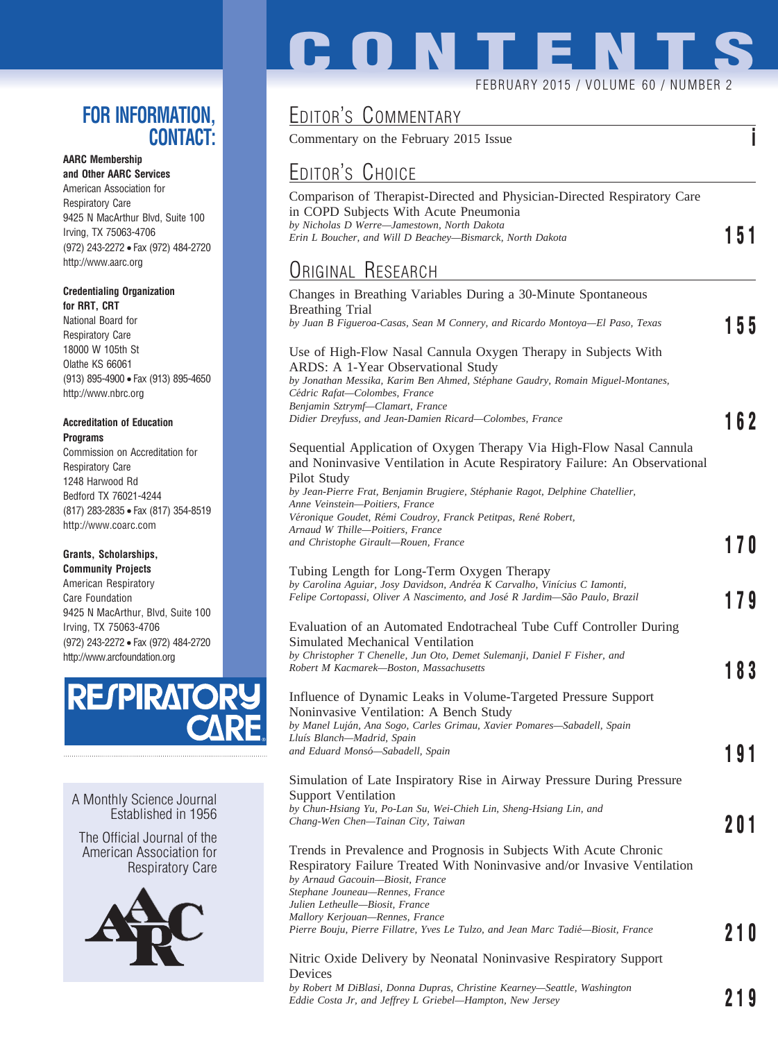## **FOR INFORMATION, CONTACT:**

### **AARC Membership**

**and Other AARC Services** American Association for Respiratory Care 9425 N MacArthur Blvd, Suite 100 Irving, TX 75063-4706 (972) 243-2272 • Fax (972) 484-2720 http://www.aarc.org

#### **Credentialing Organization for RRT, CRT**

National Board for Respiratory Care 18000 W 105th St Olathe KS 66061 (913) 895-4900 • Fax (913) 895-4650 http://www.nbrc.org

#### **Accreditation of Education Programs**

Commission on Accreditation for Respiratory Care 1248 Harwood Rd Bedford TX 76021-4244 (817) 283-2835 • Fax (817) 354-8519 http://www.coarc.com

#### **Grants, Scholarships,**

**Community Projects** American Respiratory Care Foundation 9425 N MacArthur, Blvd, Suite 100 Irving, TX 75063-4706 (972) 243-2272 • Fax (972) 484-2720 http://www.arcfoundation.org



A Monthly Science Journal Established in 1956

The Official Journal of the American Association for Respiratory Care



# **CONTENT**

#### FEBRUARY 2015 / VOLUME 60 / NUMBER 2

## EDITOR'S COMMENTARY

Commentary on the February 2015 Issue **i**

## <u>Editor's Choice</u>

| EDITOR'S CHOICE                                                                                                                                                                                                                                             |     |
|-------------------------------------------------------------------------------------------------------------------------------------------------------------------------------------------------------------------------------------------------------------|-----|
| Comparison of Therapist-Directed and Physician-Directed Respiratory Care<br>in COPD Subjects With Acute Pneumonia<br>by Nicholas D Werre-Jamestown, North Dakota<br>Erin L Boucher, and Will D Beachey—Bismarck, North Dakota                               | 151 |
| <b>ORIGINAL RESEARCH</b>                                                                                                                                                                                                                                    |     |
| Changes in Breathing Variables During a 30-Minute Spontaneous<br><b>Breathing Trial</b><br>by Juan B Figueroa-Casas, Sean M Connery, and Ricardo Montoya-El Paso, Texas                                                                                     |     |
| Use of High-Flow Nasal Cannula Oxygen Therapy in Subjects With<br>ARDS: A 1-Year Observational Study<br>by Jonathan Messika, Karim Ben Ahmed, Stéphane Gaudry, Romain Miguel-Montanes,<br>Cédric Rafat-Colombes, France<br>Benjamin Sztrymf-Clamart, France | 155 |
| Didier Dreyfuss, and Jean-Damien Ricard—Colombes, France                                                                                                                                                                                                    | 162 |
| Sequential Application of Oxygen Therapy Via High-Flow Nasal Cannula<br>and Noninvasive Ventilation in Acute Respiratory Failure: An Observational<br>Pilot Study<br>by Jean-Pierre Frat, Benjamin Brugiere, Stéphanie Ragot, Delphine Chatellier,          |     |
| Anne Veinstein-Poitiers, France<br>Véronique Goudet, Rémi Coudroy, Franck Petitpas, René Robert,                                                                                                                                                            |     |
| Arnaud W Thille-Poitiers, France<br>and Christophe Girault-Rouen, France                                                                                                                                                                                    | 170 |
| Tubing Length for Long-Term Oxygen Therapy<br>by Carolina Aguiar, Josy Davidson, Andréa K Carvalho, Vinícius C Iamonti,<br>Felipe Cortopassi, Oliver A Nascimento, and José R Jardim—São Paulo, Brazil                                                      | 179 |
| Evaluation of an Automated Endotracheal Tube Cuff Controller During<br>Simulated Mechanical Ventilation<br>by Christopher T Chenelle, Jun Oto, Demet Sulemanji, Daniel F Fisher, and                                                                        |     |
| Robert M Kacmarek-Boston, Massachusetts                                                                                                                                                                                                                     | 183 |
| Influence of Dynamic Leaks in Volume-Targeted Pressure Support<br>Noninvasive Ventilation: A Bench Study<br>by Manel Luján, Ana Sogo, Carles Grimau, Xavier Pomares-Sabadell, Spain                                                                         |     |
| Lluís Blanch-Madrid, Spain<br>and Eduard Monsó-Sabadell, Spain                                                                                                                                                                                              | 19  |
| Simulation of Late Inspiratory Rise in Airway Pressure During Pressure<br><b>Support Ventilation</b><br>by Chun-Hsiang Yu, Po-Lan Su, Wei-Chieh Lin, Sheng-Hsiang Lin, and                                                                                  |     |
| Chang-Wen Chen-Tainan City, Taiwan                                                                                                                                                                                                                          | 201 |
| Trends in Prevalence and Prognosis in Subjects With Acute Chronic<br>Respiratory Failure Treated With Noninvasive and/or Invasive Ventilation<br>by Arnaud Gacouin-Biosit, France<br>Stephane Jouneau—Rennes, France<br>Julien Letheulle—Biosit, France     |     |
| Mallory Kerjouan-Rennes, France<br>Pierre Bouju, Pierre Fillatre, Yves Le Tulzo, and Jean Marc Tadié—Biosit, France                                                                                                                                         | 210 |

#### Nitric Oxide Delivery by Neonatal Noninvasive Respiratory Support Devices

*by Robert M DiBlasi, Donna Dupras, Christine Kearney—Seattle, Washington Eddie Costa Jr, and Jeffrey L Griebel—Hampton, New Jersey* **219**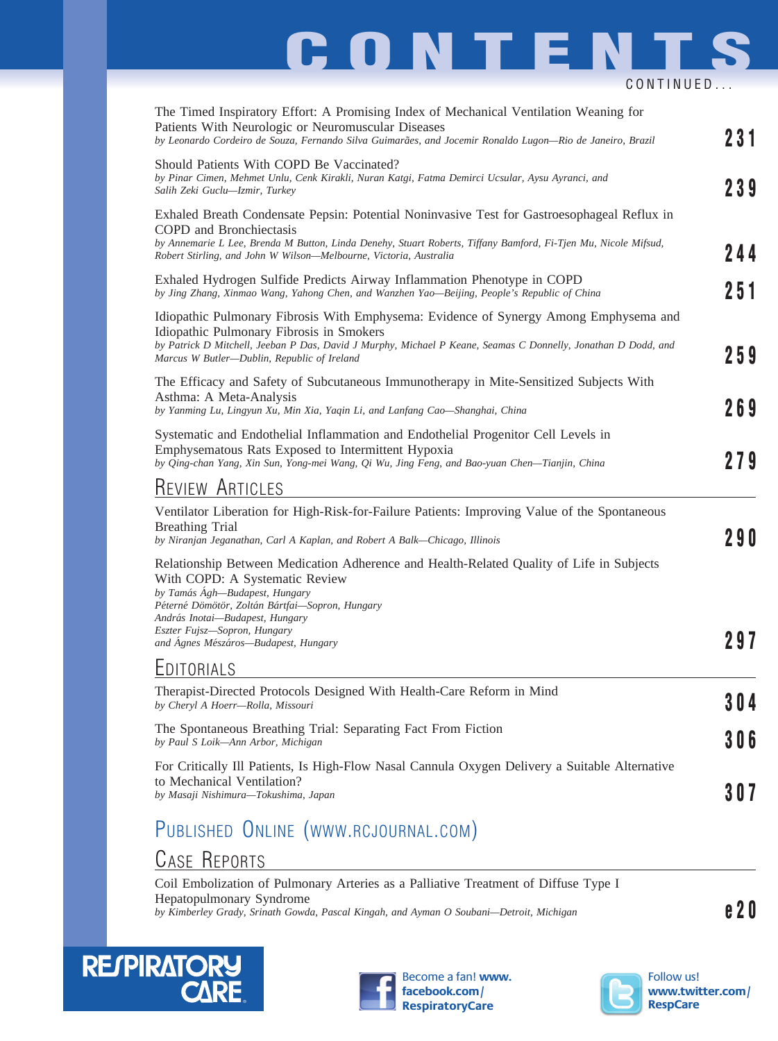## **CONTENTS** CONTINUED...

| The Timed Inspiratory Effort: A Promising Index of Mechanical Ventilation Weaning for<br>Patients With Neurologic or Neuromuscular Diseases<br>by Leonardo Cordeiro de Souza, Fernando Silva Guimarães, and Jocemir Ronaldo Lugon-Rio de Janeiro, Brazil                                                                   | 231   |
|----------------------------------------------------------------------------------------------------------------------------------------------------------------------------------------------------------------------------------------------------------------------------------------------------------------------------|-------|
| Should Patients With COPD Be Vaccinated?<br>by Pinar Cimen, Mehmet Unlu, Cenk Kirakli, Nuran Katgi, Fatma Demirci Ucsular, Aysu Ayranci, and<br>Salih Zeki Guclu-Izmir, Turkey                                                                                                                                             | 239   |
| Exhaled Breath Condensate Pepsin: Potential Noninvasive Test for Gastroesophageal Reflux in<br>COPD and Bronchiectasis<br>by Annemarie L Lee, Brenda M Button, Linda Denehy, Stuart Roberts, Tiffany Bamford, Fi-Tjen Mu, Nicole Mifsud,<br>Robert Stirling, and John W Wilson-Melbourne, Victoria, Australia              | 244   |
| Exhaled Hydrogen Sulfide Predicts Airway Inflammation Phenotype in COPD<br>by Jing Zhang, Xinmao Wang, Yahong Chen, and Wanzhen Yao-Beijing, People's Republic of China                                                                                                                                                    | 251   |
| Idiopathic Pulmonary Fibrosis With Emphysema: Evidence of Synergy Among Emphysema and<br>Idiopathic Pulmonary Fibrosis in Smokers<br>by Patrick D Mitchell, Jeeban P Das, David J Murphy, Michael P Keane, Seamas C Donnelly, Jonathan D Dodd, and<br>Marcus W Butler-Dublin, Republic of Ireland                          | 259   |
| The Efficacy and Safety of Subcutaneous Immunotherapy in Mite-Sensitized Subjects With<br>Asthma: A Meta-Analysis<br>by Yanming Lu, Lingyun Xu, Min Xia, Yaqin Li, and Lanfang Cao—Shanghai, China                                                                                                                         | 269   |
| Systematic and Endothelial Inflammation and Endothelial Progenitor Cell Levels in<br>Emphysematous Rats Exposed to Intermittent Hypoxia<br>by Qing-chan Yang, Xin Sun, Yong-mei Wang, Qi Wu, Jing Feng, and Bao-yuan Chen-Tianjin, China                                                                                   | 279   |
| <b>REVIEW ARTICLES</b>                                                                                                                                                                                                                                                                                                     |       |
| Ventilator Liberation for High-Risk-for-Failure Patients: Improving Value of the Spontaneous<br><b>Breathing Trial</b><br>by Niranjan Jeganathan, Carl A Kaplan, and Robert A Balk-Chicago, Illinois                                                                                                                       | 29O   |
| Relationship Between Medication Adherence and Health-Related Quality of Life in Subjects<br>With COPD: A Systematic Review<br>by Tamás Ágh-Budapest, Hungary<br>Péterné Dömötör, Zoltán Bártfai-Sopron, Hungary<br>András Inotai—Budapest, Hungary<br>Eszter Fujsz-Sopron, Hungary<br>and Ágnes Mészáros-Budapest, Hungary | 297   |
| <b>LDITORIALS</b>                                                                                                                                                                                                                                                                                                          |       |
| Therapist-Directed Protocols Designed With Health-Care Reform in Mind<br>by Cheryl A Hoerr-Rolla, Missouri                                                                                                                                                                                                                 | 304   |
| The Spontaneous Breathing Trial: Separating Fact From Fiction<br>by Paul S Loik-Ann Arbor, Michigan                                                                                                                                                                                                                        | 3 O 6 |
| For Critically Ill Patients, Is High-Flow Nasal Cannula Oxygen Delivery a Suitable Alternative<br>to Mechanical Ventilation?<br>by Masaji Nishimura-Tokushima, Japan                                                                                                                                                       | 307   |
|                                                                                                                                                                                                                                                                                                                            |       |

## PUBLISHED ONLINE (WWW.RCJOURNAL.COM)

## CASE REPORTS

Coil Embolization of Pulmonary Arteries as a Palliative Treatment of Diffuse Type I Hepatopulmonary Syndrome **by Kimberley Grady, Srinath Gowda, Pascal Kingah, and Ayman O Soubani—Detroit, Michigan example 20**